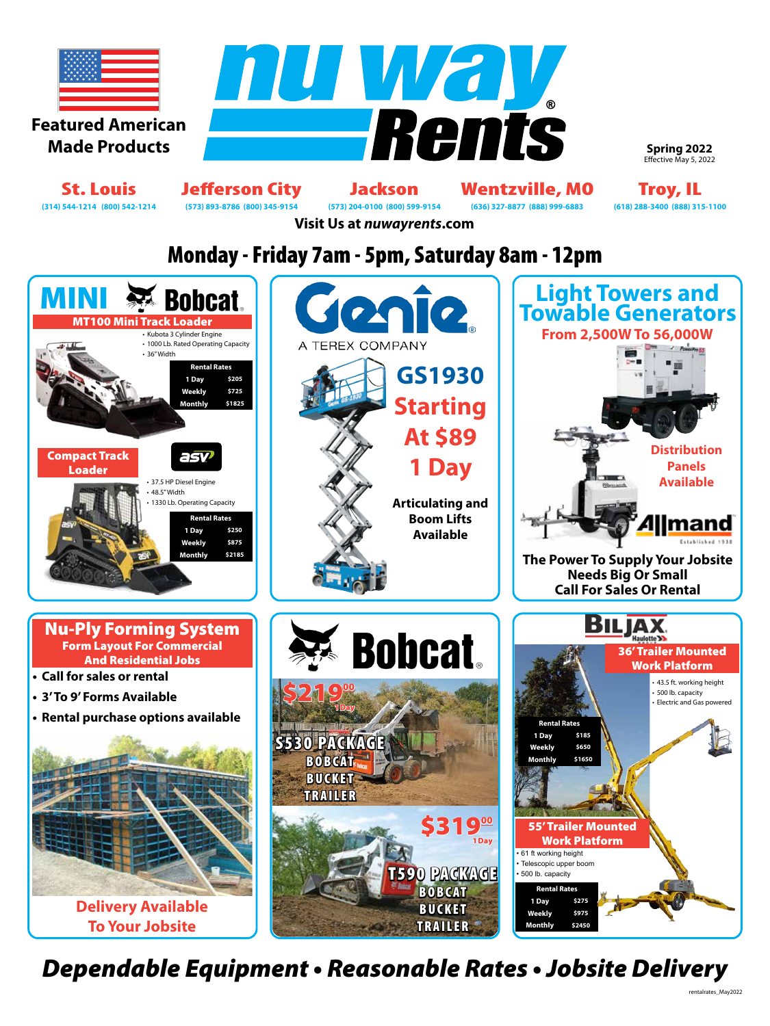

**Spring 2022** Effective May 5, 2022

St. Louis Jefferson City Jackson Wentzville, MO Troy, IL<br>
(314) 544-1214 (800) 542-1214 (573) 893-8786 (800) 345-9154 (573) 204-0100 (800) 599-9154 (636) 327-8877 (888) 999-6883 (618) 288-3400 (888) 315-1100 **(314) 544-1214 (800) 542-1214 (573) 893-8786 (800) 345-9154 (573) 204-0100 (800) 599-9154 (636) 327-8877 (888) 999-6883 (618) 288-3400 (888) 315-1100**

**Visit Us at** *nuwayrents***.com**

# Monday - Friday 7am - 5pm, Saturday 8am - 12pm



*Dependable Equipment • Reasonable Rates • Jobsite Delivery*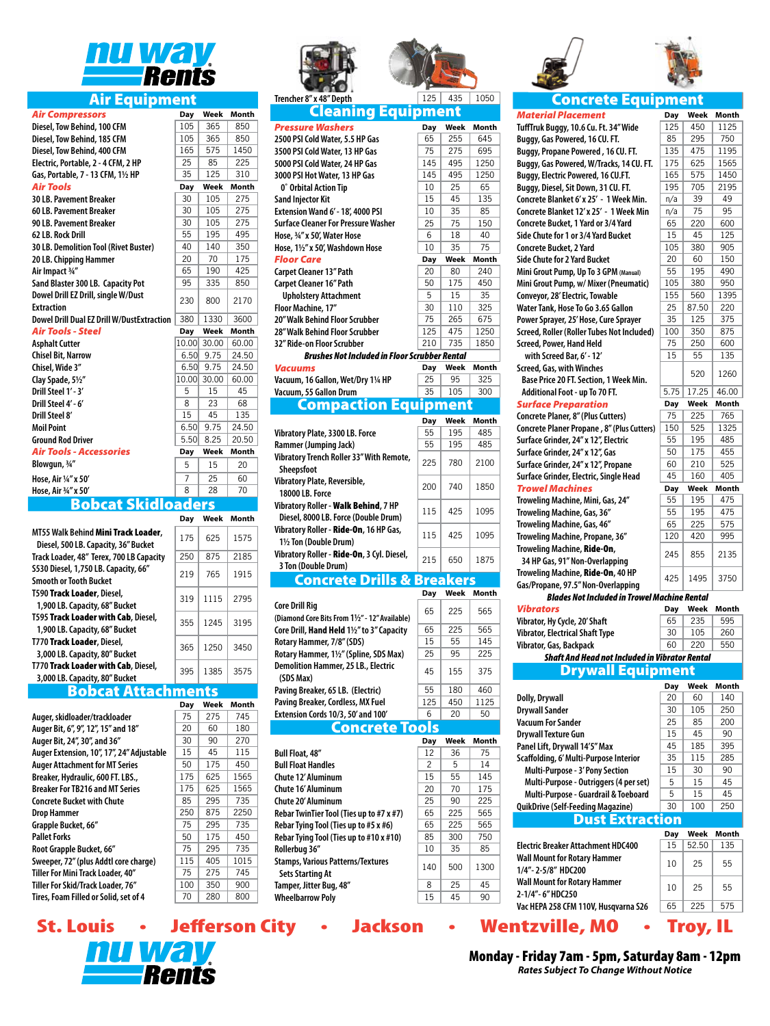

# Air Equipment

| <b>Air Compressors</b>                            | Day   | Week      | Month        |
|---------------------------------------------------|-------|-----------|--------------|
| Diesel, Tow Behind, 100 CFM                       | 105   | 365       | 850          |
| Diesel, Tow Behind, 185 CFM                       | 105   | 365       | 850          |
| Diesel, Tow Behind, 400 CFM                       | 165   | 575       | 1450         |
| Electric, Portable, 2 - 4 CFM, 2 HP               | 25    | 85        | 225          |
| Gas, Portable, 7 - 13 CFM, 11/2 HP                | 35    | 125       | 310          |
| <b>Air Tools</b>                                  | Day   | Week      | Month        |
| <b>30 LB. Pavement Breaker</b>                    | 30    | 105       | 275          |
| 60 LB. Pavement Breaker                           | 30    | 105       | 275          |
| 90 LB. Pavement Breaker                           | 30    | 105       | 275          |
| 62 LB. Rock Drill                                 | 55    | 195       | 495          |
| 30 LB. Demolition Tool (Rivet Buster)             | 40    | 140       | 350          |
| 20 LB. Chipping Hammer                            | 20    | 70        | 175          |
| Air Impact 3/4"                                   | 65    | 190       | 425          |
| Sand Blaster 300 LB. Capacity Pot                 | 95    | 335       | 850          |
| Dowel Drill EZ Drill, single W/Dust               | 230   | 800       | 2170         |
| <b>Extraction</b>                                 |       |           |              |
| <b>Dowel Drill Dual EZ Drill W/DustExtraction</b> | 380   | 1330      | 3600         |
| <b>Air Tools - Steel</b>                          | Day   | Week      | <b>Month</b> |
| <b>Asphalt Cutter</b>                             | 10.00 | 30.00     | 60.00        |
| <b>Chisel Bit, Narrow</b>                         | 6.50  | 9.75      | 24.50        |
| Chisel, Wide 3"                                   | 6.50  | 9.75      | 24.50        |
| Clay Spade, 51/2"                                 | 10.00 | 30.00     | 60.00        |
| Drill Steel 1' - 3'                               | 5     | 15        | 45           |
| Drill Steel 4' - 6'                               | 8     | 23        | 68           |
| Drill Steel 8'                                    | 15    | 45        | 135          |
| <b>Moil Point</b>                                 | 6.50  | 9.75      | 24.50        |
| <b>Ground Rod Driver</b>                          | 5.50  | 8.25      | 20.50        |
| <b>Air Tools - Accessories</b>                    | Day   | Week      | <b>Month</b> |
| Blowgun, 3/4"                                     | 5     | 15        | 20           |
| Hose, Air 1/4" x 50'                              | 7     | 25        | 60           |
| Hose, Air 3/4" x 50'                              | 8     | 28        | 70           |
| + Clial                                           |       | <b>MC</b> |              |

## Bobcat Skidloaders

|                                                                               | Day | Week | Month |
|-------------------------------------------------------------------------------|-----|------|-------|
| MT55 Walk Behind Mini Track Loader,<br>Diesel, 500 LB. Capacity, 36" Bucket   | 175 | 625  | 1575  |
| Track Loader, 48" Terex, 700 LB Capacity                                      | 250 | 875  | 2185  |
| S530 Diesel, 1,750 LB. Capacity, 66"<br>Smooth or Tooth Bucket                | 219 | 765  | 1915  |
| T590 <b>Track Loader</b> , Diesel,<br>1,900 LB. Capacity, 68" Bucket          | 319 | 1115 | 2795  |
| T595 Track Loader with Cab, Diesel,<br>1,900 LB. Capacity, 68" Bucket         | 355 | 1245 | 3195  |
| T770 <b>Track Loader</b> , Diesel,<br>3,000 LB. Capacity, 80" Bucket          | 365 | 1250 | 3450  |
| T770 <b>Track Loader with Cab</b> , Diesel,<br>3,000 LB. Capacity, 80" Bucket | 395 | 1385 | 3575  |
|                                                                               |     |      |       |

# **Bobcat Attachments**<br><sup>Dav Week</sup>

**Day Week Month**

| way |     |      |
|-----|-----|------|
| 75  | 275 | 745  |
| 20  | 60  | 180  |
| 30  | 90  | 270  |
| 15  | 45  | 115  |
| 50  | 175 | 450  |
| 175 | 625 | 1565 |
| 175 | 625 | 1565 |
| 85  | 295 | 735  |
| 250 | 875 | 2250 |
| 75  | 295 | 735  |
| 50  | 175 | 450  |
| 75  | 295 | 735  |
| 115 | 405 | 1015 |
| 75  | 275 | 745  |
| 100 | 350 | 900  |
| 70  | 280 | 800  |
|     |     |      |





|                                                 | <b>Cleaning Equipment</b>                                                    |            |           |            |
|-------------------------------------------------|------------------------------------------------------------------------------|------------|-----------|------------|
| <b>Pressure Washers</b>                         |                                                                              | Day        | Week      | Month      |
|                                                 | 2500 PSI Cold Water, 5.5 HP Gas                                              | 65         | 255       | 645        |
|                                                 | 3500 PSI Cold Water, 13 HP Gas                                               | 75         | 275       | 695        |
|                                                 | 5000 PSI Cold Water, 24 HP Gas                                               | 145        | 495       | 1250       |
|                                                 | 3000 PSI Hot Water, 13 HP Gas                                                | 145        | 495       | 1250       |
| 0° Orbital Action Tip                           |                                                                              | 10         | 25        | 65         |
| <b>Sand Injector Kit</b>                        |                                                                              | 15         | 45        | 135        |
|                                                 | Extension Wand 6' - 18', 4000 PSI                                            | 10         | 35        | 85         |
|                                                 | <b>Surface Cleaner For Pressure Washer</b>                                   | 25         | 75        | 150        |
| Hose, 3/4" x 50', Water Hose                    |                                                                              | 6          | 18        | 40         |
|                                                 | Hose, 11/2" x 50', Washdown Hose                                             | 10         | 35        | 75         |
| <b>Floor Care</b>                               |                                                                              | <b>Day</b> | Week      | Month      |
| <b>Carpet Cleaner 13" Path</b>                  |                                                                              | 20         | 80        | 240        |
| Carpet Cleaner 16" Path                         |                                                                              | 50<br>5    | 175<br>15 | 450<br>35  |
|                                                 | <b>Upholstery Attachment</b>                                                 | 30         | 110       |            |
| Floor Machine, 17"                              | 20" Walk Behind Floor Scrubber                                               | 75         | 265       | 325<br>675 |
|                                                 | 28" Walk Behind Floor Scrubber                                               | 125        | 475       | 1250       |
| 32" Ride-on Floor Scrubber                      |                                                                              | 210        | 735       | 1850       |
|                                                 | <b>Brushes Not Included in Floor Scrubber Rental</b>                         |            |           |            |
| Vacuums                                         |                                                                              | <b>Day</b> | Week      | Month      |
|                                                 | Vacuum, 16 Gallon, Wet/Dry 11/4 HP                                           | 25         | 95        | 325        |
| Vacuum, 55 Gallon Drum                          |                                                                              | 35         | 105       | 300        |
|                                                 | <b>Compaction Equipment</b>                                                  |            |           |            |
|                                                 |                                                                              | <b>Day</b> | Week      | Month      |
|                                                 | Vibratory Plate, 3300 LB. Force                                              | 55         | 195       | 485        |
| Rammer (Jumping Jack)                           |                                                                              | 55         | 195       | 485        |
| Sheepsfoot                                      | Vibratory Trench Roller 33" With Remote,                                     | 225        | 780       | 2100       |
| Vibratory Plate, Reversible,<br>18000 LB. Force |                                                                              | 200        | 740       | 1850       |
|                                                 | Vibratory Roller - Walk Behind, 7 HP<br>Diesel, 8000 LB. Force (Double Drum) | 115        | 425       | 1095       |
|                                                 | Vibratory Roller - Ride-On, 16 HP Gas,                                       | 115        | 425       | 1095       |
| 11/2 Ton (Double Drum)                          | Vibratory Roller - Ride-On, 3 Cyl. Diesel,                                   | 215        | 650       | 1875       |
| 3 Ton (Double Drum)                             |                                                                              |            |           |            |
|                                                 | <b>Concrete Drills &amp; Breakers</b>                                        |            |           |            |
|                                                 |                                                                              | Day        | Week      | Month      |
| <b>Core Drill Rig</b>                           | (Diamond Core Bits From 11/2" - 12" Available)                               | 65         | 225       | 565        |
|                                                 | Core Drill, Hand Held 11/2" to 3" Capacity                                   | 65         | 225       | 565        |
| Rotary Hammer, 7/8" (SDS)                       |                                                                              | 15         | 55        | 145        |
|                                                 | Rotary Hammer, 11/2" (Spline, SDS Max)                                       | 25         | 95        | 225        |
| (SDS Max)                                       | <b>Demolition Hammer, 25 LB., Electric</b>                                   | 45         | 155       | 375        |
|                                                 | Paving Breaker, 65 LB. (Electric)                                            | 55         | 180       | 460        |
|                                                 | Paving Breaker, Cordless, MX Fuel                                            | 125        | 450       | 1125       |
|                                                 | Extension Cords 10/3, 50' and 100'                                           | 6          | 20        | 50         |
|                                                 | <b>Concrete Tools</b>                                                        |            |           |            |
|                                                 |                                                                              | Day        | Week      | Month      |
| <b>Bull Float, 48"</b>                          |                                                                              | 12         | 36        | 75         |
| <b>Bull Float Handles</b>                       |                                                                              | 2          | 5         | 14         |
| Chute 12' Aluminum                              |                                                                              | 15         | 55        | 145        |
| Chute 16' Aluminum                              |                                                                              | 20         | 70        | 175        |
| Chute 20' Aluminum                              |                                                                              |            |           |            |
|                                                 |                                                                              | 25         | 90        | 225        |
|                                                 | Rebar TwinTier Tool (Ties up to #7 x #7)                                     | 65         | 225       | 565        |
|                                                 | Rebar Tying Tool (Ties up to #5 x #6)                                        | 65         | 225       | 565        |
| Rollerbua 36"                                   | Rebar Tying Tool (Ties up to #10 x #10)                                      | 85<br>10   | 300<br>35 | 750<br>85  |





*Material Placement* **Day Week Month TuffTruk Buggy, 10.6 Cu. Ft. 34" Wide** 125 450 1125 **Buggy, Gas Powered, 16 CU. FT.** 85 295 750 **Buggy, Propane Powered, 16 CU. FT.** 135 475 1195 **Buggy, Gas Powered, W/Tracks, 14 CU. FT.**  $\begin{array}{|l|l|l|} \hline 175 & 625 & 1565 \\ \hline \text{Buggy, Electric Powered, 16 CU.FT.} & 165 & 575 & 1450 \\ \hline \end{array}$ **Buggy, Electric Powered, 16 CU.FT.** | 165 | 575 | 1450 **Buggy, Diesel, Sit Down, 31 CU. FT.** 195 705 2195 **Concrete Blanket 6'x 25' - 1 Week Min.**  $\boxed{n/a}$  39  $\boxed{49}$ **Concrete Blanket 12' x 25' - 1 Week Min** | n/a | 75 | 95 **Concrete Bucket, 1 Yard or 3/4 Yard** 65 220 600 **Side Chute for 1 or 3/4 Yard Bucket**<br> **Concrete Bucket. 2 Yard Concrete Bucket. 2 Yard Concrete Bucket. 2 Yard Concrete Bucket. 2 Yard Concrete Bucket. 2 Yard Concrete Bucket. 2 Yard Concrete Bucket. 2 Y Concrete Bucket, 2 Yard Side Chute for 2 Yard Bucket** 20 | 60 | 150 **Mini Grout Pump, Up To 3 GPM** (Manual)  $\begin{array}{|c|c|c|c|c|} \hline \text{55} & 195 & 490 \\ \hline \end{array}$ Mini Grout Pump, w/ Mixer (Pneumatic)  $\begin{array}{|l|l|l|} \hline 105 & 380 & 950 \ \hline \end{array}$  Convevor, 28' Electric. Towable **Conveyor, 28' Electric, Towable Water Tank, Hose To Go 3.65 Gallon** 25 87.50 220 **Power Sprayer, 25' Hose, Cure Sprayer**  $\begin{array}{|l|l|l|}\n\hline\n35 & 125 & 375 \\
\hline\n\end{array}$  Screed, Roller (Roller Tubes Not Included)  $\begin{array}{|l|l|l|}\n\hline\n100 & 350 & 875\n\end{array}$ **Screed, Roller (Roller Tubes Not Included)** 100 350 875<br>**Screed Power Hand Held** 75 250 600 **Screed, Power, Hand Held** 75 **with Screed Bar, 6' - 12'** 15 | 55 | 135 **Screed, Gas, with Winches Base Price 20 FT. Section, 1 Week Min.**<br>**Base Price 20 FT. Section, 1 Week Min.** 5.75 17.25 46.00 Additional Foot - up To 70 FT. *Surface Preparation* **Day Week Month Concrete Planer, 8" (Plus Cutters)** 75 | 225 | 765 **Concrete Planer Propane, 8" (Plus Cutters)** 150 525 1325 **Surface Grinder, 24" x 12", Electric**  $\begin{array}{|l|l|l|l|}\n\hline\n\text{Surface Grinder, 24" x 12", Gas} & 50 & 175 & 455 \\
\hline\n\end{array}$ Surface Grinder, 24" x 12", Gas **Surface Grinder, 24" x 12", Propane** 60 | 210 | 525 **Surface Grinder, Electric, Single Head** 45 160 405 *Trowel Machines* **Day Week Month Troweling Machine, Mini, Gas, 24" Troweling Machine, Gas, 36"** | 55 | 195 | 475 **Troweling Machine, Gas, 46"** 65 225 575 **Troweling Machine, Propane, 36"** 120 420 995 **Troweling Machine,** Ride-On**, 10 HP Gas, 91" Non-Overlapping 245 855 2135 Troweling Machine,** Ride-On**, 40 HP Gas/Propane, 97.5" Non-Overlapping** 425 1495 3750 *Blades Not Included in Trowel Machine Rental Vibrators* **Day Week Month Vibrator, Hy Cycle, 20' Shaft** 65 | 235 | 595 **Vibrator, Electrical Shaft Type** | 30 | 105 | 260 **Vibrator, Gas, Backpack**  $\begin{array}{|c|c|c|c|c|} \hline \text{60} & 220 & 550 \\ \hline \end{array}$ *Shaft And Head not Included in Vibrator Rental* Drywall Equipment **Day Week Month Dolly, Drywall** 20 60 140 **Drywall Sander** 250 **Vacuum For Sander** 25 85 200 **Drywall Texture Gun** 15 | 45 | 90 **Panel Lift, Drywall 14'5" Max**  $\begin{array}{|c|c|c|c|c|} \hline \end{array}$  45 | 185 | 395 **Scaffolding, 6' Multi-Purpose Interior** | 35 | 115 | 285 **Multi-Purpose - 3' Pony Section** 15 30 90 **Multi-Purpose - Outriggers (4 per set)** 5 15 45<br>**Multi-Purpose - Guardrail & Toeboard** 5 15 45 **Multi-Purpose - Guardrail & Toeboard QuikDrive (Self-Feeding Magazine)** 30 100 250

Dust Extraction

|                                                           | Dav | Week  | Month |
|-----------------------------------------------------------|-----|-------|-------|
| Electric Breaker Attachment HDC400                        | 15  | 52.50 | 135   |
| <b>Wall Mount for Rotary Hammer</b><br>1/4"-2-5/8" HDC200 | 10  | 25    | 55    |
| <b>Wall Mount for Rotary Hammer</b><br>2-1/4"-6" HDC250   | 10  | 25    | 55    |
| Vac HEPA 258 CFM 110V, Husqvarna S26                      | 65  | 225   | 575   |
|                                                           |     |       |       |

St. Louis • Jefferson City • Jackson • Wentzville, MO • Troy, IL **NINE** Rents

**Sets Starting At** The State of Starting At 140 | 500 | 1300 **Tamper, Jitter Bug, 48"** 8 | 25 | 45 **Wheelbarrow Poly** 15 45 90

**Stamps, Various Patterns/Textures**

Monday - Friday 7am - 5pm, Saturday 8am - 12pm *Rates Subject To Change Without Notice*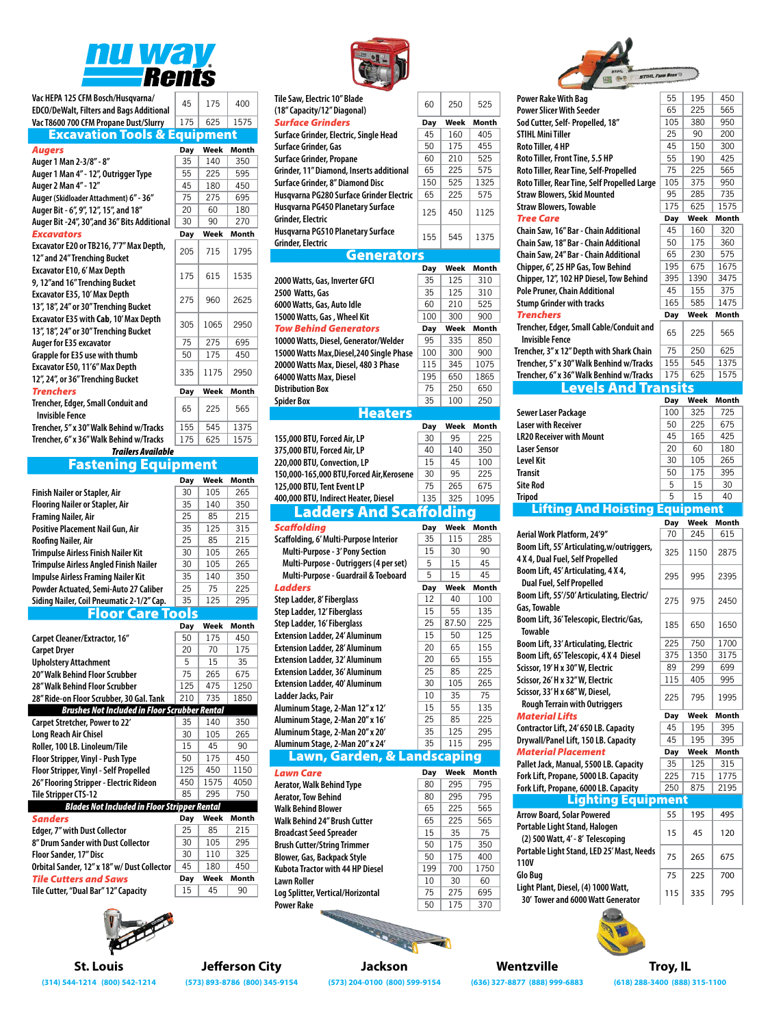

| Vac HEPA 125 CFM Bosch/Husqvarna/<br><b>EDCO/DeWalt, Filters and Bags Additional</b> | 45  | 175  | 400   |
|--------------------------------------------------------------------------------------|-----|------|-------|
| Vac T8600 700 CFM Propane Dust/Slurry                                                | 175 | 625  | 1575  |
| <b>Excavation Tools &amp; Equipment</b>                                              |     |      |       |
| Augers                                                                               | Day | Week | Month |
| Auger 1 Man 2-3/8" - 8"                                                              | 35  | 140  | 350   |
| Auger 1 Man 4" - 12", Outrigger Type                                                 | 55  | 225  | 595   |
| Auger 2 Man 4" - 12"                                                                 | 45  | 180  | 450   |
| Auger (Skidloader Attachment) 6" - 36"                                               | 75  | 275  | 695   |
| Auger Bit - 6", 9", 12", 15", and 18"                                                | 20  | 60   | 180   |
| Auger Bit -24", 30", and 36" Bits Additional                                         | 30  | 90   | 270   |
| <b>Excavators</b>                                                                    | Day | Week | Month |
| Excavator E20 or TB216, 7'7" Max Depth,<br>12" and 24" Trenching Bucket              | 205 | 715  | 1795  |
| Excavator E10, 6' Max Depth<br>9, 12"and 16" Trenching Bucket                        | 175 | 615  | 1535  |
| Excavator E35, 10' Max Depth<br>13", 18", 24" or 30" Trenching Bucket                | 275 | 960  | 2625  |
| Excavator E35 with Cab, 10' Max Depth<br>13", 18", 24" or 30" Trenching Bucket       | 305 | 1065 | 2950  |
| Auger for E35 excavator                                                              | 75  | 275  | 695   |
| Grapple for E35 use with thumb                                                       | 50  | 175  | 450   |
| Excavator E50, 11'6" Max Depth<br>12", 24", or 36" Trenching Bucket                  | 335 | 1175 | 2950  |

| Trenchers                                             | Dav | Week Month |      |
|-------------------------------------------------------|-----|------------|------|
| Trencher, Edger, Small Conduit and<br>Invisible Fence | 65  | 225        | 565  |
| Trencher, 5″ x 30″ Walk Behind w/Tracks               | 155 | 545        | 1375 |
| Trencher, 6″ x 36″ Walk Behind w/Tracks               | 175 | 625        | 1575 |

# *Trailers Available* Fastening Equipment

**Month** 

1575

|                                               | Day | Week | Month |
|-----------------------------------------------|-----|------|-------|
| <b>Finish Nailer or Stapler, Air</b>          | 30  | 105  | 265   |
| <b>Flooring Nailer or Stapler, Air</b>        | 35  | 140  | 350   |
| <b>Framing Nailer, Air</b>                    | 25  | 85   | 215   |
| <b>Positive Placement Nail Gun, Air</b>       | 35  | 125  | 315   |
| Roofing Nailer, Air                           | 25  | 85   | 215   |
| <b>Trimpulse Airless Finish Nailer Kit</b>    | 30  | 105  | 265   |
| <b>Trimpulse Airless Angled Finish Nailer</b> | 30  | 105  | 265   |
| <b>Impulse Airless Framing Nailer Kit</b>     | 35  | 140  | 350   |
| Powder Actuated, Semi-Auto 27 Caliber         | 25  | 75   | 225   |
| Siding Nailer, Coil Pneumatic 2-1/2" Cap.     | 35  | 125  | 295   |

| Day | Week | Month                                                                                                                                  |
|-----|------|----------------------------------------------------------------------------------------------------------------------------------------|
| 50  | 175  | 450                                                                                                                                    |
| 20  | 70   | 175                                                                                                                                    |
| 5   | 15   | 35                                                                                                                                     |
| 75  | 265  | 675                                                                                                                                    |
| 125 | 475  | 1250                                                                                                                                   |
| 210 | 735  | 1850                                                                                                                                   |
|     |      |                                                                                                                                        |
| 35  | 140  | 350                                                                                                                                    |
| 30  | 105  | 265                                                                                                                                    |
| 15  | 45   | 90                                                                                                                                     |
| 50  | 175  | 450                                                                                                                                    |
| 125 | 450  | 1150                                                                                                                                   |
| 450 | 1575 | 4050                                                                                                                                   |
| 85  | 295  | 750                                                                                                                                    |
|     |      |                                                                                                                                        |
| Day | Week | Month                                                                                                                                  |
| 25  | 85   | 215                                                                                                                                    |
| 30  | 105  | 295                                                                                                                                    |
| 30  | 110  | 325                                                                                                                                    |
|     |      | <b>Floor Care Tools</b><br><b>Brushes Not Included in Floor Scrubber Rental</b><br><b>Blades Not Included in Floor Stripper Rental</b> |

| <b>Floor Sander, 17" Disc</b>               | .30 L | $\Box$ | -325  |
|---------------------------------------------|-------|--------|-------|
| Orbital Sander, 12" x 18" w/ Dust Collector | 45    | 180    | 450   |
|                                             |       |        |       |
| <b>Tile Cutters and Saws</b>                | Dav   | Week   | Month |
| Tile Cutter, "Dual Bar" 12" Capacity        | 15    | 45     | 90    |



| Р                                                                                 |            |            |            |
|-----------------------------------------------------------------------------------|------------|------------|------------|
| Tile Saw, Electric 10" Blade<br>(18" Capacity/12" Diagonal)                       | 60         | 250        | 525        |
| <b>Surface Grinders</b>                                                           | <b>Day</b> | Week       | Month      |
| Surface Grinder, Electric, Single Head                                            | 45         | 160        | 405        |
| Surface Grinder, Gas                                                              | 50         | 175        | 455        |
| <b>Surface Grinder, Propane</b>                                                   | 60<br>65   | 210<br>225 | 525<br>575 |
| Grinder, 11" Diamond, Inserts additional<br>Surface Grinder, 8" Diamond Disc      | 150        | 525        | 1325       |
| Husqvarna PG280 Surface Grinder Electric                                          | 65         | 225        | 575        |
| Husqvarna PG450 Planetary Surface                                                 |            |            |            |
| Grinder, Electric                                                                 | 125        | 450        | 1125       |
| Husqvarna PG510 Planetary Surface                                                 |            |            |            |
| Grinder, Electric                                                                 | 155        | 545        | 1375       |
| <b>Generators</b>                                                                 |            |            |            |
|                                                                                   | Day        | Week       | Month      |
| 2000 Watts, Gas, Inverter GFCI                                                    | 35         | 125        | 310        |
| 2500 Watts, Gas                                                                   | 35         | 125        | 310        |
| 6000 Watts, Gas, Auto Idle                                                        | 60         | 210        | 525        |
| 15000 Watts, Gas, Wheel Kit                                                       | 100        | 300        | 900        |
| <b>Tow Behind Generators</b>                                                      | Day        | Week       | Month      |
| 10000 Watts, Diesel, Generator/Welder                                             | 95<br>100  | 335<br>300 | 850<br>900 |
| 15000 Watts Max, Diesel, 240 Single Phase<br>20000 Watts Max, Diesel, 480 3 Phase | 115        | 345        | 1075       |
| 64000 Watts Max, Diesel                                                           | 195        | 650        | 1865       |
| <b>Distribution Box</b>                                                           | 75         | 250        | 650        |
| <b>Spider Box</b>                                                                 | 35         | 100        | 250        |
| <b>Heaters</b>                                                                    |            |            |            |
|                                                                                   | <b>Day</b> | Week       | Month      |
| 155,000 BTU, Forced Air, LP                                                       | 30         | 95         | 225        |
| 375,000 BTU, Forced Air, LP                                                       | 40         | 140        | 350        |
| 220,000 BTU, Convection, LP                                                       | 15         | 45         | 100        |
| 150,000-165,000 BTU, Forced Air, Kerosene                                         | 30         | 95         | 225        |
|                                                                                   |            |            |            |
| 125,000 BTU, Tent Event LP                                                        | 75         | 265        | 675        |
| 400,000 BTU, Indirect Heater, Diesel                                              | 135        | 325        | 1095       |
| Ladders And Scaffo                                                                |            |            |            |
| <b>Scaffolding</b>                                                                | Day        | Week       | Month      |
| Scaffolding, 6' Multi-Purpose Interior                                            | 35         | 115        | 285        |
| Multi-Purpose - 3' Pony Section                                                   | 15         | 30         | 90         |
| Multi-Purpose - Outriggers (4 per set)                                            | 5          | 15         | 45         |
| Multi-Purpose - Guardrail & Toeboard                                              | 5          | 15         | 45         |
| <b>Ladders</b>                                                                    | <b>Day</b> | Week<br>40 | Month      |
| Step Ladder, 8' Fiberglass                                                        | 12<br>15   | 55         | 100<br>135 |
| Step Ladder, 12' Fiberglass<br>Step Ladder, 16' Fiberglass                        | 25         | 87.50      | 225        |
| <b>Extension Ladder, 24' Aluminum</b>                                             | 15         | 50         | 125        |
| <b>Extension Ladder, 28' Aluminum</b>                                             | 20         | 65         | 155        |
| <b>Extension Ladder, 32' Aluminum</b>                                             | 20         | 65         | 155        |
| <b>Extension Ladder, 36' Aluminum</b>                                             | 25         | 85         | 225        |
| <b>Extension Ladder, 40' Aluminum</b>                                             | 30         | 105        | 265        |
| Ladder Jacks, Pair                                                                | 10         | 35         | 75         |
| Aluminum Stage, 2-Man 12" x 12'                                                   | 15         | 55         | 135        |
| Aluminum Stage, 2-Man 20" x 16'                                                   | 25         | 85         | 225        |
| Aluminum Stage, 2-Man 20" x 20'                                                   | 35         | 125        | 295        |
| Aluminum Stage, 2-Man 20" x 24'                                                   | 35         | 115        | 295        |
| Lawn, Garden, & Landscaping                                                       |            |            |            |
| <b>Lawn Care</b>                                                                  | <b>Day</b> | Week       | Month      |
| <b>Aerator, Walk Behind Type</b>                                                  | 80         | 295        | 795        |
| <b>Aerator, Tow Behind</b>                                                        | 80         | 295        | 795        |
| <b>Walk Behind Blower</b>                                                         | 65         | 225        | 565        |
| <b>Walk Behind 24" Brush Cutter</b>                                               | 65         | 225        | 565        |
| <b>Broadcast Seed Spreader</b><br><b>Brush Cutter/String Trimmer</b>              | 15<br>50   | 35<br>175  | 75<br>350  |
| <b>Blower, Gas, Backpack Style</b>                                                | 50         | 175        | 400        |
| Kubota Tractor with 44 HP Diesel                                                  | 199        | 700        | 1750       |
| <b>Lawn Roller</b>                                                                | 10         | 30<br>275  | 60         |



| Power Rake With Bag<br><b>Power Slicer With Seeder</b><br>Sod Cutter, Self- Propelled, 18"<br><b>STIHL Mini Tiller</b><br>Roto Tiller, 4 HP<br>Roto Tiller, Front Tine, 5.5 HP<br>Roto Tiller, Rear Tine, Self-Propelled<br>Roto Tiller, Rear Tine, Self Propelled Large                                                                                                                                     | 55<br>65<br>105<br>25 | 195<br>225 | 450                   |
|--------------------------------------------------------------------------------------------------------------------------------------------------------------------------------------------------------------------------------------------------------------------------------------------------------------------------------------------------------------------------------------------------------------|-----------------------|------------|-----------------------|
|                                                                                                                                                                                                                                                                                                                                                                                                              |                       |            |                       |
|                                                                                                                                                                                                                                                                                                                                                                                                              |                       |            | 565                   |
|                                                                                                                                                                                                                                                                                                                                                                                                              |                       | 380        | 950                   |
|                                                                                                                                                                                                                                                                                                                                                                                                              |                       | 90         |                       |
|                                                                                                                                                                                                                                                                                                                                                                                                              |                       |            | 200                   |
|                                                                                                                                                                                                                                                                                                                                                                                                              | 45                    | 150        | 300                   |
|                                                                                                                                                                                                                                                                                                                                                                                                              | 55                    | 190        | 425                   |
|                                                                                                                                                                                                                                                                                                                                                                                                              | 75                    | 225        | 565                   |
|                                                                                                                                                                                                                                                                                                                                                                                                              | 105                   | 375        | 950                   |
| <b>Straw Blowers, Skid Mounted</b>                                                                                                                                                                                                                                                                                                                                                                           | 95                    | 285        | 735                   |
|                                                                                                                                                                                                                                                                                                                                                                                                              | 175                   | 625        | 1575                  |
| <b>Straw Blowers, Towable</b>                                                                                                                                                                                                                                                                                                                                                                                |                       |            |                       |
| <b>Tree Care</b>                                                                                                                                                                                                                                                                                                                                                                                             | Day                   | Week       | <b>Month</b>          |
| Chain Saw, 16" Bar - Chain Additional                                                                                                                                                                                                                                                                                                                                                                        | 45                    | 160        | 320                   |
| Chain Saw, 18" Bar - Chain Additional                                                                                                                                                                                                                                                                                                                                                                        | 50                    | 175        | 360                   |
| Chain Saw, 24" Bar - Chain Additional                                                                                                                                                                                                                                                                                                                                                                        | 65                    | 230        | 575                   |
| Chipper, 6", 25 HP Gas, Tow Behind                                                                                                                                                                                                                                                                                                                                                                           | 195                   | 675        | 1675                  |
| Chipper, 12", 102 HP Diesel, Tow Behind                                                                                                                                                                                                                                                                                                                                                                      | 395                   | 1390       | 3475                  |
|                                                                                                                                                                                                                                                                                                                                                                                                              |                       |            |                       |
| Pole Pruner, Chain Additional                                                                                                                                                                                                                                                                                                                                                                                | 45                    | 155        | 375                   |
| <b>Stump Grinder with tracks</b>                                                                                                                                                                                                                                                                                                                                                                             | 165                   | 585        | 1475                  |
| <b>Trenchers</b>                                                                                                                                                                                                                                                                                                                                                                                             | <b>Day</b>            | Week       | <b>Month</b>          |
| Trencher, Edger, Small Cable/Conduit and                                                                                                                                                                                                                                                                                                                                                                     |                       |            |                       |
| Invisible Fence                                                                                                                                                                                                                                                                                                                                                                                              | 65                    | 225        | 565                   |
|                                                                                                                                                                                                                                                                                                                                                                                                              | 75                    | 250        | 625                   |
| Trencher, 3" x 12" Depth with Shark Chain                                                                                                                                                                                                                                                                                                                                                                    |                       |            |                       |
| Trencher, 5" x 30" Walk Benhind w/Tracks                                                                                                                                                                                                                                                                                                                                                                     | 155                   | 545        | 1375                  |
| Trencher, 6" x 36" Walk Benhind w/Tracks                                                                                                                                                                                                                                                                                                                                                                     | 175                   | 625        | 1575                  |
| evels And                                                                                                                                                                                                                                                                                                                                                                                                    | <b>Transits</b>       |            |                       |
|                                                                                                                                                                                                                                                                                                                                                                                                              | Day                   | Week       | Month                 |
| Sewer Laser Package                                                                                                                                                                                                                                                                                                                                                                                          | 100                   | 325        | 725                   |
| <b>Laser with Receiver</b>                                                                                                                                                                                                                                                                                                                                                                                   | 50                    | 225        | 675                   |
|                                                                                                                                                                                                                                                                                                                                                                                                              |                       |            |                       |
| <b>LR20 Receiver with Mount</b>                                                                                                                                                                                                                                                                                                                                                                              | 45                    | 165        | 425                   |
| Laser Sensor                                                                                                                                                                                                                                                                                                                                                                                                 | 20                    | 60         | 180                   |
| Level Kit                                                                                                                                                                                                                                                                                                                                                                                                    | 30                    | 105        | 265                   |
| <b>Transit</b>                                                                                                                                                                                                                                                                                                                                                                                               | 50                    | 175        | 395                   |
| <b>Site Rod</b>                                                                                                                                                                                                                                                                                                                                                                                              | 5                     | 15         | 30                    |
| <b>Tripod</b>                                                                                                                                                                                                                                                                                                                                                                                                | 5                     | 15         | 40                    |
|                                                                                                                                                                                                                                                                                                                                                                                                              |                       |            |                       |
| <b>Lifting And Hoisting Equipment</b>                                                                                                                                                                                                                                                                                                                                                                        |                       |            |                       |
|                                                                                                                                                                                                                                                                                                                                                                                                              | Day                   | Week       | Month                 |
| Aerial Work Platform, 24'9"                                                                                                                                                                                                                                                                                                                                                                                  | 70                    |            |                       |
|                                                                                                                                                                                                                                                                                                                                                                                                              |                       | 245        | 615                   |
|                                                                                                                                                                                                                                                                                                                                                                                                              |                       |            |                       |
|                                                                                                                                                                                                                                                                                                                                                                                                              | 325                   | 1150       | 2875                  |
|                                                                                                                                                                                                                                                                                                                                                                                                              |                       |            |                       |
|                                                                                                                                                                                                                                                                                                                                                                                                              | 295                   | 995        | 2395                  |
| <b>Dual Fuel, Self Propelled</b>                                                                                                                                                                                                                                                                                                                                                                             |                       |            |                       |
|                                                                                                                                                                                                                                                                                                                                                                                                              | 275                   |            | 2450                  |
|                                                                                                                                                                                                                                                                                                                                                                                                              |                       | 975        |                       |
|                                                                                                                                                                                                                                                                                                                                                                                                              |                       |            |                       |
| Towable                                                                                                                                                                                                                                                                                                                                                                                                      | 185                   | 650        | 1650                  |
|                                                                                                                                                                                                                                                                                                                                                                                                              |                       |            |                       |
|                                                                                                                                                                                                                                                                                                                                                                                                              | 225                   | 750        | 1700                  |
|                                                                                                                                                                                                                                                                                                                                                                                                              | 375                   | 1350       | 3175                  |
|                                                                                                                                                                                                                                                                                                                                                                                                              | 89                    | 299        | 699                   |
| Boom Lift, 55' Articulating, w/outriggers,<br>4 X 4, Dual Fuel, Self Propelled<br>Boom Lift, 45' Articulating, 4 X 4,<br>Boom Lift, 55'/50' Articulating, Electric/<br>Gas, Towable<br>Boom Lift, 36' Telescopic, Electric/Gas,<br>Boom Lift, 33' Articulating, Electric<br>Boom Lift, 65' Telescopic, 4 X 4 Diesel<br>Scissor, 19' H x 30" W, Electric<br>Scissor, 26' H x 32" W, Electric                  | 115                   | 405        | 995                   |
|                                                                                                                                                                                                                                                                                                                                                                                                              |                       |            |                       |
|                                                                                                                                                                                                                                                                                                                                                                                                              | 225                   | 795        | 1995                  |
| <b>Rough Terrain with Outriggers</b>                                                                                                                                                                                                                                                                                                                                                                         |                       | Week       |                       |
|                                                                                                                                                                                                                                                                                                                                                                                                              | <b>Day</b>            |            |                       |
|                                                                                                                                                                                                                                                                                                                                                                                                              | 45                    | 195        | 395                   |
|                                                                                                                                                                                                                                                                                                                                                                                                              | 45                    | 195        | 395                   |
|                                                                                                                                                                                                                                                                                                                                                                                                              | <b>Day</b>            | Week       |                       |
|                                                                                                                                                                                                                                                                                                                                                                                                              | 35                    | 125        | 315                   |
|                                                                                                                                                                                                                                                                                                                                                                                                              | 225                   | 715        | 1775                  |
|                                                                                                                                                                                                                                                                                                                                                                                                              |                       | 875        |                       |
|                                                                                                                                                                                                                                                                                                                                                                                                              | 250                   |            | 2195                  |
| Lighting Equipment                                                                                                                                                                                                                                                                                                                                                                                           |                       |            |                       |
|                                                                                                                                                                                                                                                                                                                                                                                                              | 55                    | 195        | 495                   |
|                                                                                                                                                                                                                                                                                                                                                                                                              |                       |            |                       |
|                                                                                                                                                                                                                                                                                                                                                                                                              | 15                    | 45         | 120                   |
| Scissor, 33' H x 68" W, Diesel,<br><b>Material Lifts</b><br>Contractor Lift, 24'650 LB. Capacity<br>Drywall/Panel Lift, 150 LB. Capacity<br><b>Material Placement</b><br>Pallet Jack, Manual, 5500 LB. Capacity<br>Fork Lift, Propane, 5000 LB. Capacity<br>Fork Lift, Propane, 6000 LB. Capacity<br><b>Arrow Board, Solar Powered</b><br>Portable Light Stand, Halogen<br>(2) 500 Watt, 4' - 8' Telescoping |                       |            |                       |
| Portable Light Stand, LED 25' Mast, Needs                                                                                                                                                                                                                                                                                                                                                                    | 75                    | 265        | Month<br>Month<br>675 |
| <b>110V</b>                                                                                                                                                                                                                                                                                                                                                                                                  |                       |            |                       |
|                                                                                                                                                                                                                                                                                                                                                                                                              | 75                    | 225        | 700                   |
| Glo Bug<br>Light Plant, Diesel, (4) 1000 Watt,<br>30' Tower and 6000 Watt Generator                                                                                                                                                                                                                                                                                                                          | 115                   | 335        | 795                   |



**(314) 544-1214 (800) 542-1214 (573) 893-8786 (800) 345-9154 (573) 204-0100 (800) 599-9154 (636) 327-8877 (888) 999-6883 (618) 288-3400 (888) 315-1100**

**St. Louis Jefferson City Jackson Wentzville Troy, IL**

**Log Splitter, Vertical/Horizontal**  $\begin{array}{|c|c|c|c|c|}\n\hline\n\text{Log Splitter, Vertical/Horizontal} & & 75 & 275 & 695 \\
\hline\n\end{array}$ **Power Rake** 50 175 370

Q